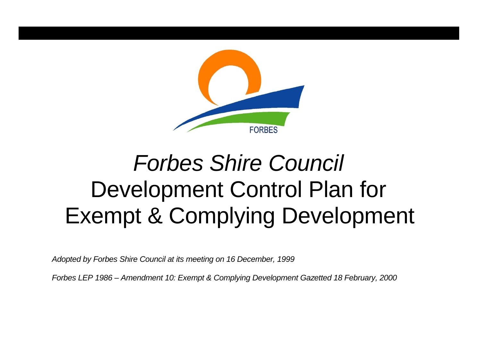

# *Forbes Shire Council* Development Control Plan for Exempt & Complying Development

*Adopted by Forbes Shire Council at its meeting on 16 December, 1999*

*Forbes LEP 1986 – Amendment 10: Exempt & Complying Development Gazetted 18 February, 2000*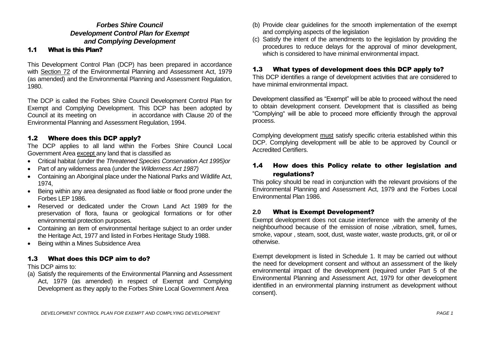# *Forbes Shire Council Development Control Plan for Exempt and Complying Development*

# 1.1 What is this Plan?

This Development Control Plan (DCP) has been prepared in accordance with Section 72 of the Environmental Planning and Assessment Act, 1979 (as amended) and the Environmental Planning and Assessment Regulation, 1980.

The DCP is called the Forbes Shire Council Development Control Plan for Exempt and Complying Development. This DCP has been adopted by Council at its meeting on in accordance with Clause 20 of the Environmental Planning and Assessment Regulation, 1994.

# 1.2 Where does this DCP apply?

The DCP applies to all land within the Forbes Shire Council Local Government Area except any land that is classified as

- Critical habitat (under the *Threatened Species Conservation Act 1995)or*
- Part of any wilderness area (under the *Wilderness Act 1987)*
- Containing an Aboriginal place under the National Parks and Wildlife Act, 1974,
- Being within any area designated as flood liable or flood prone under the Forbes LEP 1986.
- Reserved or dedicated under the Crown Land Act 1989 for the preservation of flora, fauna or geological formations or for other environmental protection purposes*.*
- Containing an item of environmental heritage subject to an order under the Heritage Act, 1977 and listed in Forbes Heritage Study 1988.
- Being within a Mines Subsidence Area

# 1.3 What does this DCP aim to do?

This DCP aims to:

(a) Satisfy the requirements of the Environmental Planning and Assessment Act, 1979 (as amended) in respect of Exempt and Complying Development as they apply to the Forbes Shire Local Government Area

- (b) Provide clear guidelines for the smooth implementation of the exempt and complying aspects of the legislation
- (c) Satisfy the intent of the amendments to the legislation by providing the procedures to reduce delays for the approval of minor development, which is considered to have minimal environmental impact.

# 1.3 What types of development does this DCP apply to?

This DCP identifies a range of development activities that are considered to have minimal environmental impact.

Development classified as "Exempt" will be able to proceed without the need to obtain development consent. Development that is classified as being "Complying" will be able to proceed more efficiently through the approval process.

Complying development must satisfy specific criteria established within this DCP. Complying development will be able to be approved by Council or Accredited Certifiers.

# 1.4 How does this Policy relate to other legislation and regulations?

This policy should be read in conjunction with the relevant provisions of the Environmental Planning and Assessment Act, 1979 and the Forbes Local Environmental Plan 1986.

### **2.0** What is Exempt Development?

Exempt development does not cause interference with the amenity of the neighbourhood because of the emission of noise ,vibration, smell, fumes, smoke, vapour , steam, soot, dust, waste water, waste products, grit, or oil or otherwise.

Exempt development is listed in Schedule 1. It may be carried out without the need for development consent and without an assessment of the likely environmental impact of the development (required under Part 5 of the Environmental Planning and Assessment Act, 1979 for other development identified in an environmental planning instrument as development without consent).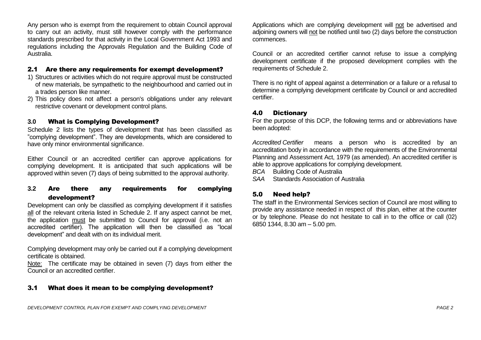Any person who is exempt from the requirement to obtain Council approval to carry out an activity, must still however comply with the performance standards prescribed for that activity in the Local Government Act 1993 and regulations including the Approvals Regulation and the Building Code of Australia.

#### 2.1 Are there any requirements for exempt development?

- 1) Structures or activities which do not require approval must be constructed of new materials, be sympathetic to the neighbourhood and carried out in a trades person like manner.
- 2) This policy does not affect a person's obligations under any relevant restrictive covenant or development control plans.

#### **3.0** What is Complying Development?

Schedule 2 lists the types of development that has been classified as "complying development". They are developments, which are considered to have only minor environmental significance.

Either Council or an accredited certifier can approve applications for complying development. It is anticipated that such applications will be approved within seven (7) days of being submitted to the approval authority.

# **3.2** Are there any requirements for complying development?

Development can only be classified as complying development if it satisfies all of the relevant criteria listed in Schedule 2. If any aspect cannot be met, the application must be submitted to Council for approval (i.e. not an accredited certifier). The application will then be classified as "local development" and dealt with on its individual merit.

Complying development may only be carried out if a complying development certificate is obtained.

Note: The certificate may be obtained in seven (7) days from either the Council or an accredited certifier.

### 3.1 What does it mean to be complying development?

Applications which are complying development will not be advertised and adjoining owners will not be notified until two (2) days before the construction commences.

Council or an accredited certifier cannot refuse to issue a complying development certificate if the proposed development complies with the requirements of Schedule 2.

There is no right of appeal against a determination or a failure or a refusal to determine a complying development certificate by Council or and accredited certifier.

#### 4.0 Dictionary

For the purpose of this DCP, the following terms and or abbreviations have been adopted:

*Accredited Certifier* means a person who is accredited by an accreditation body in accordance with the requirements of the Environmental Planning and Assessment Act, 1979 (as amended). An accredited certifier is able to approve applications for complying development.

*BCA* Building Code of Australia

*SAA* Standards Association of Australia

### 5.0 Need help?

The staff in the Environmental Services section of Council are most willing to provide any assistance needed in respect of this plan, either at the counter or by telephone. Please do not hesitate to call in to the office or call (02) 6850 1344, 8.30 am – 5.00 pm.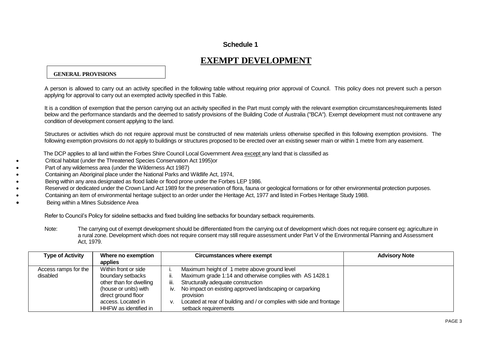# **Schedule 1**

# **EXEMPT DEVELOPMENT**

#### **GENERAL PROVISIONS**

A person is allowed to carry out an activity specified in the following table without requiring prior approval of Council. This policy does not prevent such a person applying for approval to carry out an exempted activity specified in this Table.

It is a condition of exemption that the person carrying out an activity specified in the Part must comply with the relevant exemption circumstances/requirements listed below and the performance standards and the deemed to satisfy provisions of the Building Code of Australia ("BCA"). Exempt development must not contravene any condition of development consent applying to the land.

Structures or activities which do not require approval must be constructed of new materials unless otherwise specified in this following exemption provisions. The following exemption provisions do not apply to buildings or structures proposed to be erected over an existing sewer main or within 1 metre from any easement.

The DCP applies to all land within the Forbes Shire Council Local Government Area except any land that is classified as

- Critical habitat (under the Threatened Species Conservation Act 1995)or
- Part of any wilderness area (under the Wilderness Act 1987)
- Containing an Aboriginal place under the National Parks and Wildlife Act, 1974,
- Being within any area designated as flood liable or flood prone under the Forbes LEP 1986.
- Reserved or dedicated under the Crown Land Act 1989 for the preservation of flora, fauna or geological formations or for other environmental protection purposes.
- Containing an item of environmental heritage subject to an order under the Heritage Act, 1977 and listed in Forbes Heritage Study 1988.
- Being within a Mines Subsidence Area

Refer to Council's Policy for sideline setbacks and fixed building line setbacks for boundary setback requirements.

Note: The carrying out of exempt development should be differentiated from the carrying out of development which does not require consent eg: agriculture in a rural zone. Development which does not require consent may still require assessment under Part V of the Environmental Planning and Assessment Act, 1979.

| <b>Type of Activity</b> | Where no exemption      | <b>Circumstances where exempt</b>                                          | <b>Advisory Note</b> |
|-------------------------|-------------------------|----------------------------------------------------------------------------|----------------------|
|                         | applies                 |                                                                            |                      |
| Access ramps for the    | Within front or side    | Maximum height of 1 metre above ground level                               |                      |
| disabled                | boundary setbacks       | Maximum grade 1:14 and otherwise complies with AS 1428.1                   |                      |
|                         | other than for dwelling | Structurally adequate construction<br>Ш.                                   |                      |
|                         | (house or units) with   | No impact on existing approved landscaping or carparking<br>IV.            |                      |
|                         | direct ground floor     | provision                                                                  |                      |
|                         | access. Located in      | Located at rear of building and / or complies with side and frontage<br>v. |                      |
|                         | HHFW as identified in   | setback requirements                                                       |                      |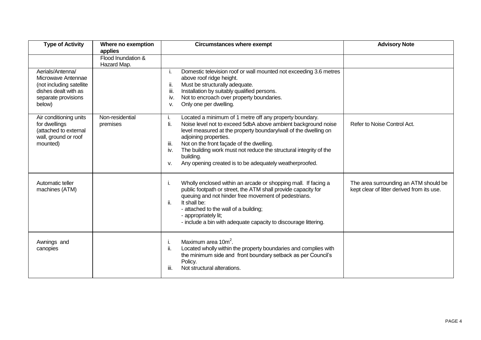| <b>Type of Activity</b>                                                                                                     | Where no exemption<br>applies     | <b>Circumstances where exempt</b>                                                                                                                                                                                                                                                                                                                                                                                                               | <b>Advisory Note</b>                                                                |
|-----------------------------------------------------------------------------------------------------------------------------|-----------------------------------|-------------------------------------------------------------------------------------------------------------------------------------------------------------------------------------------------------------------------------------------------------------------------------------------------------------------------------------------------------------------------------------------------------------------------------------------------|-------------------------------------------------------------------------------------|
|                                                                                                                             | Flood Inundation &<br>Hazard Map. |                                                                                                                                                                                                                                                                                                                                                                                                                                                 |                                                                                     |
| Aerials/Antenna/<br>Microwave Antennae<br>(not including satellite<br>dishes dealt with as<br>separate provisions<br>below) |                                   | Domestic television roof or wall mounted not exceeding 3.6 metres<br>i.<br>above roof ridge height.<br>Must be structurally adequate.<br>ii.<br>iii.<br>Installation by suitably qualified persons.<br>Not to encroach over property boundaries.<br>iv.<br>Only one per dwelling.<br>٧.                                                                                                                                                         |                                                                                     |
| Air conditioning units<br>for dwellings<br>(attached to external<br>wall, ground or roof<br>mounted)                        | Non-residential<br>premises       | Located a minimum of 1 metre off any property boundary.<br>i.<br>Noise level not to exceed 5dbA above ambient background noise<br>li.<br>level measured at the property boundary/wall of the dwelling on<br>adjoining properties.<br>Not on the front façade of the dwelling.<br>iii.<br>The building work must not reduce the structural integrity of the<br>iv.<br>building.<br>Any opening created is to be adequately weatherproofed.<br>v. | Refer to Noise Control Act.                                                         |
| Automatic teller<br>machines (ATM)                                                                                          |                                   | Wholly enclosed within an arcade or shopping mall. If facing a<br>i.<br>public footpath or street, the ATM shall provide capacity for<br>queuing and not hinder free movement of pedestrians.<br>It shall be:<br>ii.<br>- attached to the wall of a building;<br>- appropriately lit;<br>- include a bin with adequate capacity to discourage littering.                                                                                        | The area surrounding an ATM should be<br>kept clear of litter derived from its use. |
| Awnings and<br>canopies                                                                                                     |                                   | Maximum area 10m <sup>2</sup> .<br>ii.<br>Located wholly within the property boundaries and complies with<br>the minimum side and front boundary setback as per Council's<br>Policy.<br>Not structural alterations.<br>iii.                                                                                                                                                                                                                     |                                                                                     |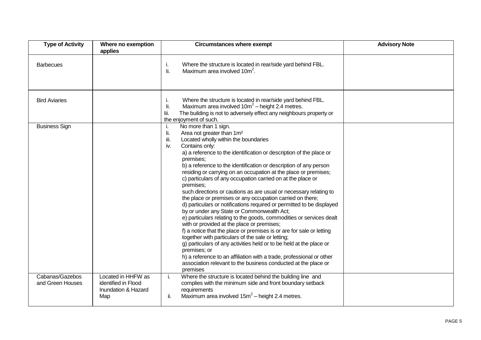| <b>Type of Activity</b>             | Where no exemption<br>applies                                           | <b>Circumstances where exempt</b>                                                                                                                                                                                                                                                                                                                                                                                                                                                                                                                                                                                                                                                                                                                                                                                                                                                                                                                                                                                                                                                                                                                                                                                   | <b>Advisory Note</b> |
|-------------------------------------|-------------------------------------------------------------------------|---------------------------------------------------------------------------------------------------------------------------------------------------------------------------------------------------------------------------------------------------------------------------------------------------------------------------------------------------------------------------------------------------------------------------------------------------------------------------------------------------------------------------------------------------------------------------------------------------------------------------------------------------------------------------------------------------------------------------------------------------------------------------------------------------------------------------------------------------------------------------------------------------------------------------------------------------------------------------------------------------------------------------------------------------------------------------------------------------------------------------------------------------------------------------------------------------------------------|----------------------|
| <b>Barbecues</b>                    |                                                                         | Where the structure is located in rear/side yard behind FBL.<br>i.<br>li.<br>Maximum area involved 10m <sup>2</sup> .                                                                                                                                                                                                                                                                                                                                                                                                                                                                                                                                                                                                                                                                                                                                                                                                                                                                                                                                                                                                                                                                                               |                      |
| <b>Bird Aviaries</b>                |                                                                         | Where the structure is located in rear/side yard behind FBL.<br>j.<br>Maximum area involved $10m^2$ – height 2.4 metres.<br>li.<br>The building is not to adversely effect any neighbours property or<br>lii.<br>the enjoyment of such.                                                                                                                                                                                                                                                                                                                                                                                                                                                                                                                                                                                                                                                                                                                                                                                                                                                                                                                                                                             |                      |
| <b>Business Sign</b>                |                                                                         | No more than 1 sign.<br>i.<br>Area not greater than 1m <sup>2</sup><br>li.<br>iii.<br>Located wholly within the boundaries<br>Contains only:<br>iv.<br>a) a reference to the identification or description of the place or<br>premises;<br>b) a reference to the identification or description of any person<br>residing or carrying on an occupation at the place or premises;<br>c) particulars of any occupation carried on at the place or<br>premises;<br>such directions or cautions as are usual or necessary relating to<br>the place or premises or any occupation carried on there;<br>d) particulars or notifications required or permitted to be displayed<br>by or under any State or Commonwealth Act;<br>e) particulars relating to the goods, commodities or services dealt<br>with or provided at the place or premises;<br>f) a notice that the place or premises is or are for sale or letting<br>together with particulars of the sale or letting;<br>g) particulars of any activities held or to be held at the place or<br>premises; or<br>h) a reference to an affiliation with a trade, professional or other<br>association relevant to the business conducted at the place or<br>premises |                      |
| Cabanas/Gazebos<br>and Green Houses | Located in HHFW as<br>identified in Flood<br>Inundation & Hazard<br>Map | Where the structure is located behind the building line and<br>i.<br>complies with the minimum side and front boundary setback<br>requirements<br>Maximum area involved $15m^2$ – height 2.4 metres.<br>ii.                                                                                                                                                                                                                                                                                                                                                                                                                                                                                                                                                                                                                                                                                                                                                                                                                                                                                                                                                                                                         |                      |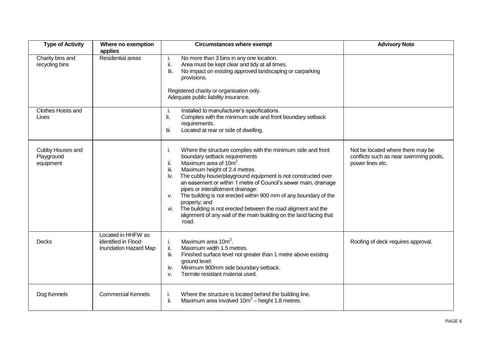| <b>Type of Activity</b>                     | Where no exemption<br>applies                                      | <b>Circumstances where exempt</b>                                                                                                                                                                                                                                                                                                                                                                                                                                                                                                                                                                                          | <b>Advisory Note</b>                                                                            |
|---------------------------------------------|--------------------------------------------------------------------|----------------------------------------------------------------------------------------------------------------------------------------------------------------------------------------------------------------------------------------------------------------------------------------------------------------------------------------------------------------------------------------------------------------------------------------------------------------------------------------------------------------------------------------------------------------------------------------------------------------------------|-------------------------------------------------------------------------------------------------|
| Charity bins and<br>recycling bins          | Residential areas                                                  | No more than 3 bins in any one location.<br>Area must be kept clear and tidy at all times.<br>ii.<br>No impact on existing approved landscaping or carparking<br>lii.<br>provisions.<br>Registered charity or organisation only.<br>Adequate public liability insurance.                                                                                                                                                                                                                                                                                                                                                   |                                                                                                 |
| Clothes Hoists and<br>Lines                 |                                                                    | Installed to manufacturer's specifications.<br>Complies with the minimum side and front boundary setback<br>li.<br>requirements.<br>Located at rear or side of dwelling.<br>lii.                                                                                                                                                                                                                                                                                                                                                                                                                                           |                                                                                                 |
| Cubby Houses and<br>Playground<br>equipment |                                                                    | Where the structure complies with the minimum side and front<br>Τ.<br>boundary setback requirements<br>Maximum area of 10m <sup>2</sup> .<br>II.<br>Maximum height of 2.4 metres.<br>III.<br>The cubby house/playground equipment is not constructed over<br>iv.<br>an easement or within 1 metre of Council's sewer main, drainage<br>pipes or interallotment drainage:<br>The building is not erected within 900 mm of any boundary of the<br>v.<br>property; and<br>The building is not erected between the road aligment and the<br>vi.<br>alignment of any wall of the main building on the land facing that<br>road. | Not be located where there may be<br>conflicts such as near swimming pools,<br>power lines etc. |
| <b>Decks</b>                                | Located in HHFW as<br>identified in Flood<br>Inundation Hazard Map | Maximum area 10m <sup>2</sup> .<br>j.<br>ii.<br>Maximum width 1.5 metres.<br>Finished surface level not greater than 1 metre above existing<br>iii.<br>ground level.<br>Minimum 900mm side boundary setback.<br>iv.<br>Termite resistant material used.<br>V.                                                                                                                                                                                                                                                                                                                                                              | Roofing of deck requires approval.                                                              |
| Dog Kennels                                 | <b>Commercial Kennels</b>                                          | Where the structure is located behind the building line.<br>Ъ.<br>Maximum area involved $10m^2$ – height 1.8 metres.<br>ii.                                                                                                                                                                                                                                                                                                                                                                                                                                                                                                |                                                                                                 |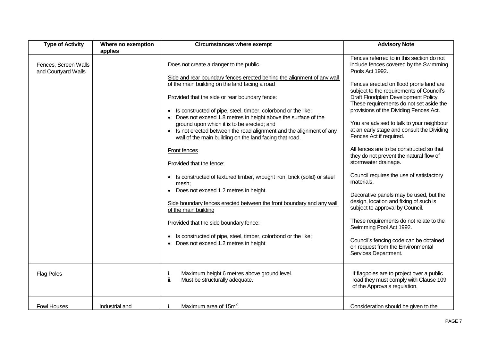| <b>Type of Activity</b>                     | Where no exemption | <b>Circumstances where exempt</b>                                                                                                                                                                                                                                                                                                                                                                                                                                                                                                                                          | <b>Advisory Note</b>                                                                                                                                                                                                                                                                                                                                                                                                                                                                                                                   |
|---------------------------------------------|--------------------|----------------------------------------------------------------------------------------------------------------------------------------------------------------------------------------------------------------------------------------------------------------------------------------------------------------------------------------------------------------------------------------------------------------------------------------------------------------------------------------------------------------------------------------------------------------------------|----------------------------------------------------------------------------------------------------------------------------------------------------------------------------------------------------------------------------------------------------------------------------------------------------------------------------------------------------------------------------------------------------------------------------------------------------------------------------------------------------------------------------------------|
| Fences, Screen Walls<br>and Courtyard Walls | applies            | Does not create a danger to the public.<br>Side and rear boundary fences erected behind the alignment of any wall<br>of the main building on the land facing a road<br>Provided that the side or rear boundary fence:<br>Is constructed of pipe, steel, timber, colorbond or the like;<br>Does not exceed 1.8 metres in height above the surface of the<br>ground upon which it is to be erected; and<br>Is not erected between the road alignment and the alignment of any<br>$\bullet$<br>wall of the main building on the land facing that road.<br><b>Front fences</b> | Fences referred to in this section do not<br>include fences covered by the Swimming<br>Pools Act 1992.<br>Fences erected on flood prone land are<br>subject to the requirements of Council's<br>Draft Floodplain Development Policy.<br>These requirements do not set aside the<br>provisions of the Dividing Fences Act.<br>You are advised to talk to your neighbour<br>at an early stage and consult the Dividing<br>Fences Act if required.<br>All fences are to be constructed so that<br>they do not prevent the natural flow of |
|                                             |                    | Provided that the fence:<br>Is constructed of textured timber, wrought iron, brick (solid) or steel<br>mesh;<br>Does not exceed 1.2 metres in height.<br>Side boundary fences erected between the front boundary and any wall<br>of the main building                                                                                                                                                                                                                                                                                                                      | stormwater drainage.<br>Council requires the use of satisfactory<br>materials.<br>Decorative panels may be used, but the<br>design, location and fixing of such is<br>subject to approval by Council.<br>These requirements do not relate to the                                                                                                                                                                                                                                                                                       |
|                                             |                    | Provided that the side boundary fence:<br>Is constructed of pipe, steel, timber, colorbond or the like;<br>Does not exceed 1.2 metres in height                                                                                                                                                                                                                                                                                                                                                                                                                            | Swimming Pool Act 1992.<br>Council's fencing code can be obtained<br>on request from the Environmental<br>Services Department.                                                                                                                                                                                                                                                                                                                                                                                                         |
| <b>Flag Poles</b>                           |                    | Maximum height 6 metres above ground level.<br>ii.<br>Must be structurally adequate.                                                                                                                                                                                                                                                                                                                                                                                                                                                                                       | If flagpoles are to project over a public<br>road they must comply with Clause 109<br>of the Approvals regulation.                                                                                                                                                                                                                                                                                                                                                                                                                     |
| <b>Fowl Houses</b>                          | Industrial and     | Maximum area of 15m <sup>2</sup> .                                                                                                                                                                                                                                                                                                                                                                                                                                                                                                                                         | Consideration should be given to the                                                                                                                                                                                                                                                                                                                                                                                                                                                                                                   |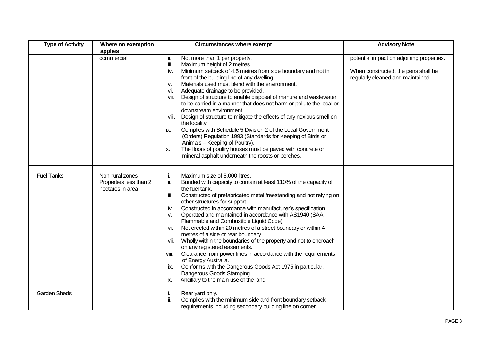| <b>Type of Activity</b> | Where no exemption                                            | <b>Circumstances where exempt</b>                                                                                                                                                                                                                                                                                                                                                                                                                                                                                                                                                                                                                                                                                                                                                                                                                                                                              | <b>Advisory Note</b>                                                                                                  |
|-------------------------|---------------------------------------------------------------|----------------------------------------------------------------------------------------------------------------------------------------------------------------------------------------------------------------------------------------------------------------------------------------------------------------------------------------------------------------------------------------------------------------------------------------------------------------------------------------------------------------------------------------------------------------------------------------------------------------------------------------------------------------------------------------------------------------------------------------------------------------------------------------------------------------------------------------------------------------------------------------------------------------|-----------------------------------------------------------------------------------------------------------------------|
|                         | applies                                                       |                                                                                                                                                                                                                                                                                                                                                                                                                                                                                                                                                                                                                                                                                                                                                                                                                                                                                                                |                                                                                                                       |
|                         | commercial                                                    | Not more than 1 per property.<br>ii.<br>iii.<br>Maximum height of 2 metres.<br>Minimum setback of 4.5 metres from side boundary and not in<br>iv.<br>front of the building line of any dwelling.<br>Materials used must blend with the environment.<br>v.<br>Adequate drainage to be provided.<br>vi.<br>Design of structure to enable disposal of manure and wastewater<br>vii.<br>to be carried in a manner that does not harm or pollute the local or<br>downstream environment.<br>Design of structure to mitigate the effects of any noxious smell on<br>viii.<br>the locality.<br>Complies with Schedule 5 Division 2 of the Local Government<br>ix.<br>(Orders) Regulation 1993 (Standards for Keeping of Birds or<br>Animals - Keeping of Poultry).<br>The floors of poultry houses must be paved with concrete or<br>Х.<br>mineral asphalt underneath the roosts or perches.                          | potential impact on adjoining properties.<br>When constructed, the pens shall be<br>regularly cleaned and maintained. |
| <b>Fuel Tanks</b>       | Non-rural zones<br>Properties less than 2<br>hectares in area | Maximum size of 5,000 litres.<br>i.<br>Bunded with capacity to contain at least 110% of the capacity of<br>ii.<br>the fuel tank.<br>iii.<br>Constructed of prefabricated metal freestanding and not relying on<br>other structures for support.<br>Constructed in accordance with manufacturer's specification.<br>iv.<br>Operated and maintained in accordance with AS1940 (SAA<br>v.<br>Flammable and Combustible Liquid Code).<br>Not erected within 20 metres of a street boundary or within 4<br>vi.<br>metres of a side or rear boundary.<br>Wholly within the boundaries of the property and not to encroach<br>vii.<br>on any registered easements.<br>Clearance from power lines in accordance with the requirements<br>viii.<br>of Energy Australia.<br>Conforms with the Dangerous Goods Act 1975 in particular,<br>ix.<br>Dangerous Goods Stamping.<br>Ancillary to the main use of the land<br>х. |                                                                                                                       |
| <b>Garden Sheds</b>     |                                                               | Rear yard only.<br>Ĺ.<br>Complies with the minimum side and front boundary setback<br>ii.<br>requirements including secondary building line on corner                                                                                                                                                                                                                                                                                                                                                                                                                                                                                                                                                                                                                                                                                                                                                          |                                                                                                                       |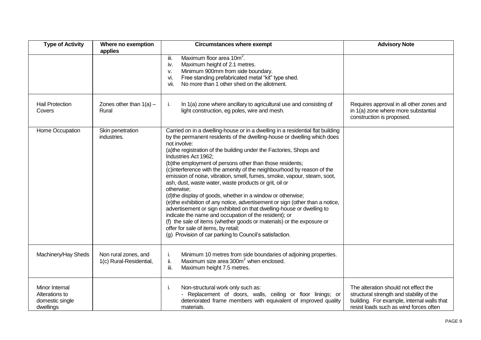| <b>Type of Activity</b>                                          | Where no exemption<br>applies                   | <b>Circumstances where exempt</b>                                                                                                                                                                                                                                                                                                                                                                                                                                                                                                                                                                                                                                                                                                                                                                                                                                                                                                                                                                                              | <b>Advisory Note</b>                                                                                                                                                     |
|------------------------------------------------------------------|-------------------------------------------------|--------------------------------------------------------------------------------------------------------------------------------------------------------------------------------------------------------------------------------------------------------------------------------------------------------------------------------------------------------------------------------------------------------------------------------------------------------------------------------------------------------------------------------------------------------------------------------------------------------------------------------------------------------------------------------------------------------------------------------------------------------------------------------------------------------------------------------------------------------------------------------------------------------------------------------------------------------------------------------------------------------------------------------|--------------------------------------------------------------------------------------------------------------------------------------------------------------------------|
|                                                                  |                                                 | Maximum floor area 10m <sup>2</sup> .<br>iii.<br>Maximum height of 2.1 metres.<br>iv.<br>Minimum 900mm from side boundary.<br>v.<br>Free standing prefabricated metal "kit" type shed.<br>vi.<br>No more than 1 other shed on the allotment.<br>vii.                                                                                                                                                                                                                                                                                                                                                                                                                                                                                                                                                                                                                                                                                                                                                                           |                                                                                                                                                                          |
| <b>Hail Protection</b><br>Covers                                 | Zones other than $1(a)$ –<br>Rural              | In 1(a) zone where ancillary to agricultural use and consisting of<br>i.<br>light construction, eg poles, wire and mesh.                                                                                                                                                                                                                                                                                                                                                                                                                                                                                                                                                                                                                                                                                                                                                                                                                                                                                                       | Requires approval in all other zones and<br>in 1(a) zone where more substantial<br>construction is proposed.                                                             |
| Home Occupation                                                  | Skin penetration<br>industries.                 | Carried on in a dwelling-house or in a dwelling in a residential flat building<br>by the permanent residents of the dwelling-house or dwelling which does<br>not involve:<br>(a) the registration of the building under the Factories, Shops and<br>Industries Act 1962;<br>(b)the employment of persons other than those residents;<br>(c)interference with the amenity of the neighbourhood by reason of the<br>emission of noise, vibration, smell, fumes, smoke, vapour, steam, soot,<br>ash, dust, waste water, waste products or grit, oil or<br>otherwise:<br>(d) the display of goods, whether in a window or otherwise;<br>(e) the exhibition of any notice, advertisement or sign (other than a notice,<br>advertisement or sign exhibited on that dwelling-house or dwelling to<br>indicate the name and occupation of the resident); or<br>(f) the sale of items (whether goods or materials) or the exposure or<br>offer for sale of items, by retail;<br>(g) Provision of car parking to Council's satisfaction. |                                                                                                                                                                          |
| Machinery/Hay Sheds                                              | Non rural zones, and<br>1(c) Rural-Residential, | Minimum 10 metres from side boundaries of adjoining properties.<br>ı.<br>Maximum size area 300m <sup>2</sup> when enclosed.<br>ii.<br>Maximum height 7.5 metres.<br>iii.                                                                                                                                                                                                                                                                                                                                                                                                                                                                                                                                                                                                                                                                                                                                                                                                                                                       |                                                                                                                                                                          |
| Minor Internal<br>Alterations to<br>domestic single<br>dwellings |                                                 | Non-structural work only such as:<br>i.<br>- Replacement of doors, walls, ceiling or floor linings; or<br>deteriorated frame members with equivalent of improved quality<br>materials.                                                                                                                                                                                                                                                                                                                                                                                                                                                                                                                                                                                                                                                                                                                                                                                                                                         | The alteration should not effect the<br>structural strength and stability of the<br>building. For example, internal walls that<br>resist loads such as wind forces often |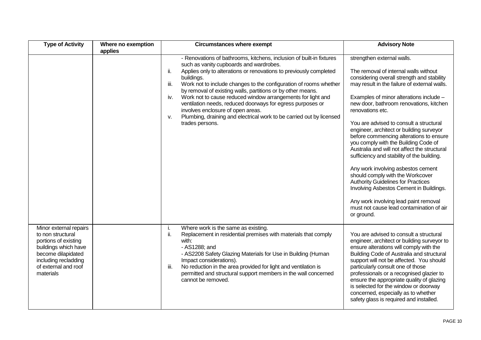| <b>Type of Activity</b>                                                                                                                                                        | Where no exemption<br>applies | <b>Circumstances where exempt</b>                                                                                                                                                                                                                                                                                                                                                                                                                                                                                                                                                                                                | <b>Advisory Note</b>                                                                                                                                                                                                                                                                                                                                                                                                                                                                                                                                                                                                                                                                                                                                                                                                     |
|--------------------------------------------------------------------------------------------------------------------------------------------------------------------------------|-------------------------------|----------------------------------------------------------------------------------------------------------------------------------------------------------------------------------------------------------------------------------------------------------------------------------------------------------------------------------------------------------------------------------------------------------------------------------------------------------------------------------------------------------------------------------------------------------------------------------------------------------------------------------|--------------------------------------------------------------------------------------------------------------------------------------------------------------------------------------------------------------------------------------------------------------------------------------------------------------------------------------------------------------------------------------------------------------------------------------------------------------------------------------------------------------------------------------------------------------------------------------------------------------------------------------------------------------------------------------------------------------------------------------------------------------------------------------------------------------------------|
|                                                                                                                                                                                |                               | - Renovations of bathrooms, kitchens, inclusion of built-in fixtures<br>such as vanity cupboards and wardrobes.<br>ii.<br>Applies only to alterations or renovations to previously completed<br>buildings.<br>Work not to include changes to the configuration of rooms whether<br>iii.<br>by removal of existing walls, partitions or by other means.<br>Work not to cause reduced window arrangements for light and<br>iv.<br>ventilation needs, reduced doorways for egress purposes or<br>involves enclosure of open areas.<br>Plumbing, draining and electrical work to be carried out by licensed<br>v.<br>trades persons. | strengthen external walls.<br>The removal of internal walls without<br>considering overall strength and stability<br>may result in the failure of external walls.<br>Examples of minor alterations include -<br>new door, bathroom renovations, kitchen<br>renovations etc.<br>You are advised to consult a structural<br>engineer, architect or building surveyor<br>before commencing alterations to ensure<br>you comply with the Building Code of<br>Australia and will not affect the structural<br>sufficiency and stability of the building.<br>Any work involving asbestos cement<br>should comply with the Workcover<br><b>Authority Guidelines for Practices</b><br>Involving Asbestos Cement in Buildings.<br>Any work involving lead paint removal<br>must not cause lead contamination of air<br>or ground. |
| Minor external repairs<br>to non structural<br>portions of existing<br>buildings which have<br>become dilapidated<br>including recladding<br>of external and roof<br>materials |                               | Where work is the same as existing.<br>L.<br>ii.<br>Replacement in residential premises with materials that comply<br>with:<br>- AS1288; and<br>- AS2208 Safety Glazing Materials for Use in Building (Human<br>Impact considerations).<br>No reduction in the area provided for light and ventilation is<br>iii.<br>permitted and structural support members in the wall concerned<br>cannot be removed.                                                                                                                                                                                                                        | You are advised to consult a structural<br>engineer, architect or building surveyor to<br>ensure alterations will comply with the<br>Building Code of Australia and structural<br>support will not be affected. You should<br>particularly consult one of those<br>professionals or a recognised glazier to<br>ensure the appropriate quality of glazing<br>is selected for the window or doorway<br>concerned, especially as to whether<br>safety glass is required and installed.                                                                                                                                                                                                                                                                                                                                      |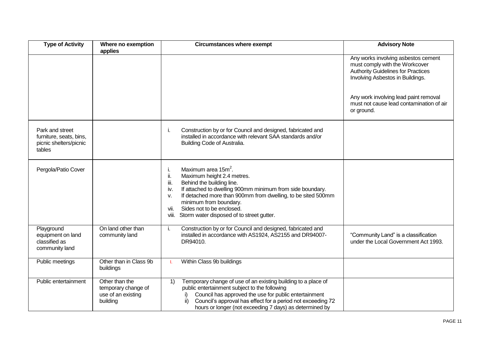| <b>Type of Activity</b>                                                        | Where no exemption<br>applies                                           | <b>Circumstances where exempt</b>                                                                                                                                                                                                                                                                                                                                              | <b>Advisory Note</b>                                                                                                                                   |
|--------------------------------------------------------------------------------|-------------------------------------------------------------------------|--------------------------------------------------------------------------------------------------------------------------------------------------------------------------------------------------------------------------------------------------------------------------------------------------------------------------------------------------------------------------------|--------------------------------------------------------------------------------------------------------------------------------------------------------|
|                                                                                |                                                                         |                                                                                                                                                                                                                                                                                                                                                                                | Any works involving asbestos cement<br>must comply with the Workcover<br><b>Authority Guidelines for Practices</b><br>Involving Asbestos in Buildings. |
|                                                                                |                                                                         |                                                                                                                                                                                                                                                                                                                                                                                | Any work involving lead paint removal<br>must not cause lead contamination of air<br>or ground.                                                        |
| Park and street<br>furniture, seats, bins,<br>picnic shelters/picnic<br>tables |                                                                         | Construction by or for Council and designed, fabricated and<br>i.<br>installed in accordance with relevant SAA standards and/or<br>Building Code of Australia.                                                                                                                                                                                                                 |                                                                                                                                                        |
| Pergola/Patio Cover                                                            |                                                                         | Maximum area 15m <sup>2</sup> .<br>i.<br>ii.<br>Maximum height 2.4 metres.<br>iii.<br>Behind the building line.<br>If attached to dwelling 900mm minimum from side boundary.<br>iv.<br>If detached more than 900mm from dwelling, to be sited 500mm<br>v.<br>minimum from boundary.<br>Sides not to be enclosed.<br>vii.<br>Storm water disposed of to street gutter.<br>viii. |                                                                                                                                                        |
| Playground<br>equipment on land<br>classified as<br>community land             | On land other than<br>community land                                    | Construction by or for Council and designed, fabricated and<br>i.<br>installed in accordance with AS1924, AS2155 and DR94007-<br>DR94010.                                                                                                                                                                                                                                      | "Community Land" is a classification<br>under the Local Government Act 1993.                                                                           |
| Public meetings                                                                | Other than in Class 9b<br>buildings                                     | Within Class 9b buildings<br>L.                                                                                                                                                                                                                                                                                                                                                |                                                                                                                                                        |
| Public entertainment                                                           | Other than the<br>temporary change of<br>use of an existing<br>building | Temporary change of use of an existing building to a place of<br>1)<br>public entertainment subject to the following<br>Council has approved the use for public entertainment<br>i)<br>Council's approval has effect for a period not exceeding 72<br>hours or longer (not exceeding 7 days) as determined by                                                                  |                                                                                                                                                        |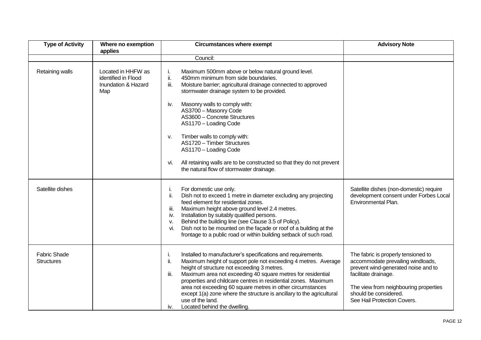| <b>Type of Activity</b>                  | Where no exemption<br>applies                                           | <b>Circumstances where exempt</b>                                                                                                                                                                                                                                                                                                                                                                                                                                                                                                     | <b>Advisory Note</b>                                                                                                                                                                                                                     |
|------------------------------------------|-------------------------------------------------------------------------|---------------------------------------------------------------------------------------------------------------------------------------------------------------------------------------------------------------------------------------------------------------------------------------------------------------------------------------------------------------------------------------------------------------------------------------------------------------------------------------------------------------------------------------|------------------------------------------------------------------------------------------------------------------------------------------------------------------------------------------------------------------------------------------|
|                                          |                                                                         | Council:                                                                                                                                                                                                                                                                                                                                                                                                                                                                                                                              |                                                                                                                                                                                                                                          |
| Retaining walls                          | Located in HHFW as<br>identified in Flood<br>Inundation & Hazard<br>Map | Maximum 500mm above or below natural ground level.<br>ii.<br>450mm minimum from side boundaries.<br>Moisture barrier; agricultural drainage connected to approved<br>iii.<br>stormwater drainage system to be provided.<br>Masonry walls to comply with:<br>IV.                                                                                                                                                                                                                                                                       |                                                                                                                                                                                                                                          |
|                                          |                                                                         | AS3700 - Masonry Code<br>AS3600 - Concrete Structures<br>AS1170 - Loading Code                                                                                                                                                                                                                                                                                                                                                                                                                                                        |                                                                                                                                                                                                                                          |
|                                          |                                                                         | Timber walls to comply with:<br>v.<br>AS1720 - Timber Structures<br>AS1170 - Loading Code                                                                                                                                                                                                                                                                                                                                                                                                                                             |                                                                                                                                                                                                                                          |
|                                          |                                                                         | All retaining walls are to be constructed so that they do not prevent<br>Vİ.<br>the natural flow of stormwater drainage.                                                                                                                                                                                                                                                                                                                                                                                                              |                                                                                                                                                                                                                                          |
| Satellite dishes                         |                                                                         | For domestic use only.<br>ı.<br>ii.<br>Dish not to exceed 1 metre in diameter excluding any projecting<br>feed element for residential zones.<br>Maximum height above ground level 2.4 metres.<br>iii.<br>Installation by suitably qualified persons.<br>iv.<br>Behind the building line (see Clause 3.5 of Policy).<br>v.<br>Dish not to be mounted on the façade or roof of a building at the<br>vi.<br>frontage to a public road or within building setback of such road.                                                          | Satellite dishes (non-domestic) require<br>development consent under Forbes Local<br>Environmental Plan.                                                                                                                                 |
| <b>Fabric Shade</b><br><b>Structures</b> |                                                                         | Installed to manufacturer's specifications and requirements.<br>τ.<br>ii.<br>Maximum height of support pole not exceeding 4 metres. Average<br>height of structure not exceeding 3 metres.<br>Maximum area not exceeding 40 square metres for residential<br>iii.<br>properties and childcare centres in residential zones. Maximum<br>area not exceeding 60 square metres in other circumstances<br>except 1(a) zone where the structure is ancillary to the agricultural<br>use of the land.<br>Located behind the dwelling.<br>İV. | The fabric is properly tensioned to<br>accommodate prevailing windloads,<br>prevent wind-generated noise and to<br>facilitate drainage.<br>The view from neighbouring properties<br>should be considered.<br>See Hail Protection Covers. |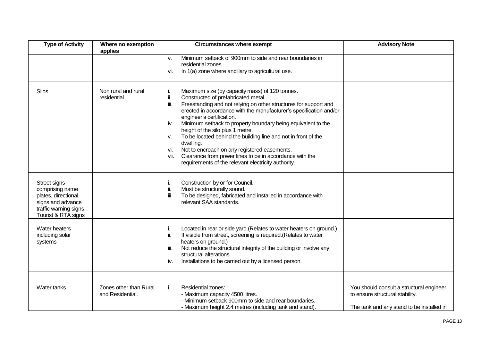| <b>Type of Activity</b>                                                                                                     | Where no exemption<br>applies              | <b>Circumstances where exempt</b>                                                                                                                                                                                                                                                                                                                                                                                                                                                                                                                                                                                                                            | <b>Advisory Note</b>                                                                                                     |
|-----------------------------------------------------------------------------------------------------------------------------|--------------------------------------------|--------------------------------------------------------------------------------------------------------------------------------------------------------------------------------------------------------------------------------------------------------------------------------------------------------------------------------------------------------------------------------------------------------------------------------------------------------------------------------------------------------------------------------------------------------------------------------------------------------------------------------------------------------------|--------------------------------------------------------------------------------------------------------------------------|
|                                                                                                                             |                                            | Minimum setback of 900mm to side and rear boundaries in<br>v.<br>residential zones.<br>In 1(a) zone where ancillary to agricultural use.<br>vi.                                                                                                                                                                                                                                                                                                                                                                                                                                                                                                              |                                                                                                                          |
| <b>Silos</b>                                                                                                                | Non rural and rural<br>residential         | Maximum size (by capacity mass) of 120 tonnes.<br>ii.<br>Constructed of prefabricated metal.<br>iii.<br>Freestanding and not relying on other structures for support and<br>erected in accordance with the manufacturer's specification and/or<br>engineer's certification.<br>Minimum setback to property boundary being equivalent to the<br>iv.<br>height of the silo plus 1 metre.<br>To be located behind the building line and not in front of the<br>v.<br>dwelling.<br>Not to encroach on any registered easements.<br>vi.<br>Clearance from power lines to be in accordance with the<br>vii.<br>requirements of the relevant electricity authority. |                                                                                                                          |
| Street signs<br>comprising name<br>plates, directional<br>signs and advance<br>traffic warning signs<br>Tourist & RTA signs |                                            | Construction by or for Council.<br>ı.<br>ii.<br>Must be structurally sound.<br>iii.<br>To be designed, fabricated and installed in accordance with<br>relevant SAA standards.                                                                                                                                                                                                                                                                                                                                                                                                                                                                                |                                                                                                                          |
| Water heaters<br>including solar<br>systems                                                                                 |                                            | Located in rear or side yard. (Relates to water heaters on ground.)<br>i.<br>ii.<br>If visible from street, screening is required.(Relates to water<br>heaters on ground.)<br>Not reduce the structural integrity of the building or involve any<br>iii.<br>structural alterations.<br>Installations to be carried out by a licensed person.<br>İV.                                                                                                                                                                                                                                                                                                          |                                                                                                                          |
| Water tanks                                                                                                                 | Zones other than Rural<br>and Residential. | Residential zones:<br>i.<br>- Maximum capacity 4500 litres.<br>- Minimum setback 900mm to side and rear boundaries.<br>- Maximum height 2.4 metres (including tank and stand).                                                                                                                                                                                                                                                                                                                                                                                                                                                                               | You should consult a structural engineer<br>to ensure structural stability.<br>The tank and any stand to be installed in |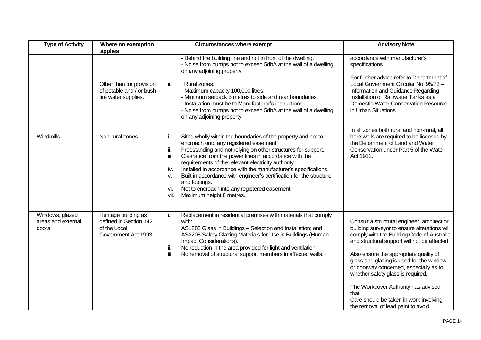| <b>Type of Activity</b>                        | Where no exemption                                                                      | <b>Circumstances where exempt</b>                                                                                                                                                                                                                                                                                                                                                                                                                                                                                                                                                 | <b>Advisory Note</b>                                                                                                                                                                                                                                                                                                                                                                                                                                                                           |
|------------------------------------------------|-----------------------------------------------------------------------------------------|-----------------------------------------------------------------------------------------------------------------------------------------------------------------------------------------------------------------------------------------------------------------------------------------------------------------------------------------------------------------------------------------------------------------------------------------------------------------------------------------------------------------------------------------------------------------------------------|------------------------------------------------------------------------------------------------------------------------------------------------------------------------------------------------------------------------------------------------------------------------------------------------------------------------------------------------------------------------------------------------------------------------------------------------------------------------------------------------|
|                                                | applies<br>Other than for provision<br>of potable and / or bush<br>fire water supplies. | - Behind the building line and not in front of the dwelling.<br>- Noise from pumps not to exceed 5dbA at the wall of a dwelling<br>on any adjoining property.<br>ii.<br>Rural zones:<br>- Maximum capacity 100,000 litres.<br>- Minimum setback 5 metres to side and rear boundaries.<br>- Installation must be to Manufacturer's instructions.<br>- Noise from pumps not to exceed 5dbA at the wall of a dwelling<br>on any adjoining property.                                                                                                                                  | accordance with manufacturer's<br>specifications.<br>For further advice refer to Department of<br>Local Government Circular No. 95/73 -<br>Information and Guidance Regarding<br>Installation of Rainwater Tanks as a<br><b>Domestic Water Conservation Resource</b><br>in Urban Situations.                                                                                                                                                                                                   |
| Windmills                                      | Non-rural zones                                                                         | j.<br>Sited wholly within the boundaries of the property and not to<br>encroach onto any registered easement.<br>ii.<br>Freestanding and not relying on other structures for support.<br>Clearance from the power lines in accordance with the<br>iii.<br>requirements of the relevant electricity authority.<br>Installed in accordance with the manufacturer's specifications.<br>iv.<br>Built in accordance with engineer's certification for the structure<br>v.<br>and footings.<br>Not to encroach into any registered easement.<br>vi.<br>Maximum height 8 metres.<br>vii. | In all zones both rural and non-rural, all<br>bore wells are required to be licensed by<br>the Department of Land and Water<br>Conservation under Part 5 of the Water<br>Act 1912.                                                                                                                                                                                                                                                                                                             |
| Windows, glazed<br>areas and external<br>doors | Heritage building as<br>defined in Section 142<br>of the Local<br>Government Act 1993   | Replacement in residential premises with materials that comply<br>j.<br>with:<br>AS1288 Glass in Buildings - Selection and Installation; and<br>AS2208 Safety Glazing Materials for Use in Buildings (Human<br>Impact Considerations).<br>ii.<br>No reduction in the area provided for light and ventilation.<br>iii.<br>No removal of structural support members in affected walls.                                                                                                                                                                                              | Consult a structural engineer, architect or<br>building surveyor to ensure alterations will<br>comply with the Building Code of Australia<br>and structural support will not be affected.<br>Also ensure the appropriate quality of<br>glass and glazing is used for the window<br>or doorway concerned, especially as to<br>whether safety glass is required.<br>The Workcover Authority has advised<br>that.<br>Care should be taken in work involving<br>the removal of lead paint to avoid |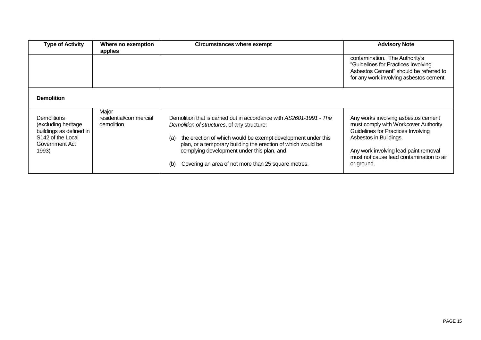| <b>Type of Activity</b>                                                                                                          | Where no exemption<br>applies                 | Circumstances where exempt                                                                                                                                                                                                                                                                                                                                            | <b>Advisory Note</b>                                                                                                                                                                                                                           |
|----------------------------------------------------------------------------------------------------------------------------------|-----------------------------------------------|-----------------------------------------------------------------------------------------------------------------------------------------------------------------------------------------------------------------------------------------------------------------------------------------------------------------------------------------------------------------------|------------------------------------------------------------------------------------------------------------------------------------------------------------------------------------------------------------------------------------------------|
|                                                                                                                                  |                                               |                                                                                                                                                                                                                                                                                                                                                                       | contamination. The Authority's<br>"Guidelines for Practices Involving<br>Asbestos Cement" should be referred to<br>for any work involving asbestos cement.                                                                                     |
| <b>Demolition</b>                                                                                                                |                                               |                                                                                                                                                                                                                                                                                                                                                                       |                                                                                                                                                                                                                                                |
| <b>Demolitions</b><br>(excluding heritage<br>buildings as defined in<br>S <sub>142</sub> of the Local<br>Government Act<br>1993) | Major<br>residential/commercial<br>demolition | Demolition that is carried out in accordance with AS2601-1991 - The<br>Demolition of structures, of any structure:<br>the erection of which would be exempt development under this<br>(a)<br>plan, or a temporary building the erection of which would be<br>complying development under this plan, and<br>Covering an area of not more than 25 square metres.<br>(b) | Any works involving asbestos cement<br>must comply with Workcover Authority<br>Guidelines for Practices Involving<br>Asbestos in Buildings.<br>Any work involving lead paint removal<br>must not cause lead contamination to air<br>or ground. |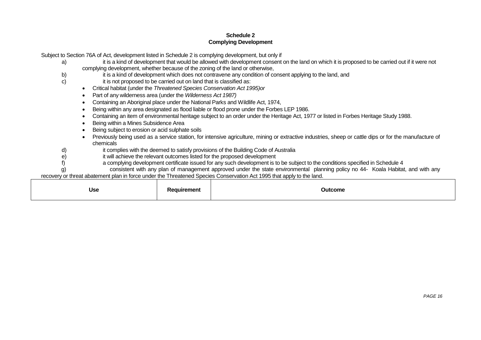#### **Schedule 2 Complying Development**

Subject to Section 76A of Act, development listed in Schedule 2 is complying development, but only if

- a) it is a kind of development that would be allowed with development consent on the land on which it is proposed to be carried out if it were not complying development, whether because of the zoning of the land or otherwise,
- b) it is a kind of development which does not contravene any condition of consent applying to the land, and c) it is not proposed to be carried out on land that is classified as:
- it is not proposed to be carried out on land that is classified as:
	- Critical habitat (under the *Threatened Species Conservation Act 1995)or*
	- Part of any wilderness area (under the *Wilderness Act 1987)*
	- Containing an Aboriginal place under the National Parks and Wildlife Act, 1974,
	- Being within any area designated as flood liable or flood prone under the Forbes LEP 1986.
	- Containing an item of environmental heritage subject to an order under the Heritage Act, 1977 or listed in Forbes Heritage Study 1988.
	- Being within a Mines Subsidence Area
	- Being subject to erosion or acid sulphate soils
	- Previously being used as a service station, for intensive agriculture, mining or extractive industries, sheep or cattle dips or for the manufacture of chemicals
- d) it complies with the deemed to satisfy provisions of the Building Code of Australia
- e) it will achieve the relevant outcomes listed for the proposed development f<br>a complying development certificate issued for any such development is to
	- a complying development certificate issued for any such development is to be subject to the conditions specified in Schedule 4

g) consistent with any plan of management approved under the state environmental planning policy no 44- Koala Habitat, and with any recovery or threat abatement plan in force under the Threatened Species Conservation Act 1995 that apply to the land.

| . .<br><b>Use</b> | <b>aurement</b><br>$\sim$<br>n | Outcome |
|-------------------|--------------------------------|---------|
|-------------------|--------------------------------|---------|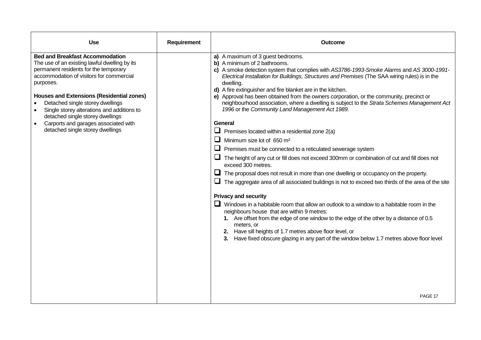| <b>Use</b>                                                                                                                                                                                                                                                                                                                                                                                                                                                   | Requirement | Outcome                                                                                                                                                                                                                                                                                                                                                                                                                                                                                                                                                                                                                                                                                                                                                                                                                                                                                                                                                                                                                                                                                                                                                                                                                                                                                                                                                                                                                                                                                                                                                                     |
|--------------------------------------------------------------------------------------------------------------------------------------------------------------------------------------------------------------------------------------------------------------------------------------------------------------------------------------------------------------------------------------------------------------------------------------------------------------|-------------|-----------------------------------------------------------------------------------------------------------------------------------------------------------------------------------------------------------------------------------------------------------------------------------------------------------------------------------------------------------------------------------------------------------------------------------------------------------------------------------------------------------------------------------------------------------------------------------------------------------------------------------------------------------------------------------------------------------------------------------------------------------------------------------------------------------------------------------------------------------------------------------------------------------------------------------------------------------------------------------------------------------------------------------------------------------------------------------------------------------------------------------------------------------------------------------------------------------------------------------------------------------------------------------------------------------------------------------------------------------------------------------------------------------------------------------------------------------------------------------------------------------------------------------------------------------------------------|
| <b>Bed and Breakfast Accommodation</b><br>The use of an existing lawful dwelling by its<br>permanent residents for the temporary<br>accommodation of visitors for commercial<br>purposes.<br><b>Houses and Extensions (Residential zones)</b><br>Detached single storey dwellings<br>Single storey alterations and additions to<br>detached single storey dwellings<br>Carports and garages associated with<br>$\bullet$<br>detached single storey dwellings |             | a) A maximum of 3 guest bedrooms.<br>b) A minimum of 2 bathrooms.<br>c) A smoke detection system that complies with AS3786-1993-Smoke Alarms and AS 3000-1991-<br>Electrical Installation for Buildings, Structures and Premises (The SAA wiring rules) is in the<br>dwelling.<br>d) A fire extinguisher and fire blanket are in the kitchen.<br>e) Approval has been obtained from the owners corporation, or the community, precinct or<br>neighbourhood association, where a dwelling is subject to the Strata Schemes Management Act<br>1996 or the Community Land Management Act 1989.<br>General<br>$\Box$ Premises located within a residential zone 2(a)<br>$\Box$ Minimum size lot of 650 m <sup>2</sup><br>$\Box$ Premises must be connected to a reticulated sewerage system<br>The height of any cut or fill does not exceed 300mm or combination of cut and fill does not<br>exceed 300 metres.<br>$\Box$ The proposal does not result in more than one dwelling or occupancy on the property.<br>$\Box$ The aggregate area of all associated buildings is not to exceed two thirds of the area of the site<br><b>Privacy and security</b><br>$\Box$ Windows in a habitable room that allow an outlook to a window to a habitable room in the<br>neighbours house that are within 9 metres:<br>1. Are offset from the edge of one window to the edge of the other by a distance of 0.5<br>meters, or<br>2. Have sill heights of 1.7 metres above floor level, or<br>3. Have fixed obscure glazing in any part of the window below 1.7 metres above floor level |
|                                                                                                                                                                                                                                                                                                                                                                                                                                                              |             | PAGE 17                                                                                                                                                                                                                                                                                                                                                                                                                                                                                                                                                                                                                                                                                                                                                                                                                                                                                                                                                                                                                                                                                                                                                                                                                                                                                                                                                                                                                                                                                                                                                                     |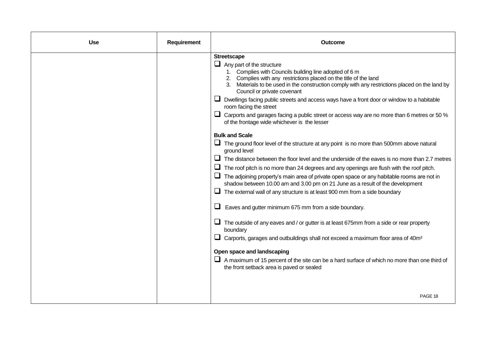| <b>Use</b> | Requirement | Outcome                                                                                                                                                                                                                                                                                                                                                                                                                                                                                                                                                                                                                                                                                                                                                                                                                                                                                                                                                                                                                                                                                                                                                                                                                                                                                                                                                                                                                                                                                                                                                                                                                                                          |
|------------|-------------|------------------------------------------------------------------------------------------------------------------------------------------------------------------------------------------------------------------------------------------------------------------------------------------------------------------------------------------------------------------------------------------------------------------------------------------------------------------------------------------------------------------------------------------------------------------------------------------------------------------------------------------------------------------------------------------------------------------------------------------------------------------------------------------------------------------------------------------------------------------------------------------------------------------------------------------------------------------------------------------------------------------------------------------------------------------------------------------------------------------------------------------------------------------------------------------------------------------------------------------------------------------------------------------------------------------------------------------------------------------------------------------------------------------------------------------------------------------------------------------------------------------------------------------------------------------------------------------------------------------------------------------------------------------|
|            |             | <b>Streetscape</b><br>$\Box$ Any part of the structure<br>1. Complies with Councils building line adopted of 6 m<br>2. Complies with any restrictions placed on the title of the land<br>3. Materials to be used in the construction comply with any restrictions placed on the land by<br>Council or private covenant<br>□ Dwellings facing public streets and access ways have a front door or window to a habitable<br>room facing the street<br>Carports and garages facing a public street or access way are no more than 6 metres or 50 %<br>of the frontage wide whichever is the lesser<br><b>Bulk and Scale</b><br>The ground floor level of the structure at any point is no more than 500mm above natural<br>ground level<br>The distance between the floor level and the underside of the eaves is no more than 2.7 metres<br>The roof pitch is no more than 24 degrees and any openings are flush with the roof pitch.<br>$\Box$ The adjoining property's main area of private open space or any habitable rooms are not in<br>shadow between 10.00 am and 3.00 pm on 21 June as a result of the development<br>The external wall of any structure is at least 900 mm from a side boundary<br>Eaves and gutter minimum 675 mm from a side boundary.<br>The outside of any eaves and / or gutter is at least 675mm from a side or rear property<br>boundary<br>$\Box$ Carports, garages and outbuildings shall not exceed a maximum floor area of 40m <sup>2</sup><br>Open space and landscaping<br>$\Box$ A maximum of 15 percent of the site can be a hard surface of which no more than one third of<br>the front setback area is paved or sealed |
|            |             | PAGE 18                                                                                                                                                                                                                                                                                                                                                                                                                                                                                                                                                                                                                                                                                                                                                                                                                                                                                                                                                                                                                                                                                                                                                                                                                                                                                                                                                                                                                                                                                                                                                                                                                                                          |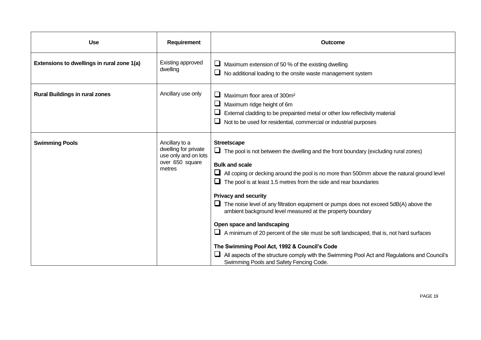| <b>Use</b>                                 | Requirement                                                                                 | Outcome                                                                                                                                                                                                                                                                                                                                                                                                                                                                                                                                                                                                                                                                                                                                                                                                                                     |
|--------------------------------------------|---------------------------------------------------------------------------------------------|---------------------------------------------------------------------------------------------------------------------------------------------------------------------------------------------------------------------------------------------------------------------------------------------------------------------------------------------------------------------------------------------------------------------------------------------------------------------------------------------------------------------------------------------------------------------------------------------------------------------------------------------------------------------------------------------------------------------------------------------------------------------------------------------------------------------------------------------|
| Extensions to dwellings in rural zone 1(a) | Existing approved<br>dwelling                                                               | Maximum extension of 50 % of the existing dwelling<br>$\Box$ No additional loading to the onsite waste management system                                                                                                                                                                                                                                                                                                                                                                                                                                                                                                                                                                                                                                                                                                                    |
| <b>Rural Buildings in rural zones</b>      | Ancillary use only                                                                          | Maximum floor area of 300m <sup>2</sup><br>Maximum ridge height of 6m<br>External cladding to be prepainted metal or other low reflectivity material<br>Not to be used for residential, commercial or industrial purposes<br>⊔                                                                                                                                                                                                                                                                                                                                                                                                                                                                                                                                                                                                              |
| <b>Swimming Pools</b>                      | Ancillary to a<br>dwelling for private<br>use only and on lots<br>over 650 square<br>metres | <b>Streetscape</b><br>$\Box$ The pool is not between the dwelling and the front boundary (excluding rural zones)<br><b>Bulk and scale</b><br>$\Box$ All coping or decking around the pool is no more than 500mm above the natural ground level<br>The pool is at least 1.5 metres from the side and rear boundaries<br><b>Privacy and security</b><br>$\Box$ The noise level of any filtration equipment or pumps does not exceed 5dB(A) above the<br>ambient background level measured at the property boundary<br>Open space and landscaping<br>$\Box$ A minimum of 20 percent of the site must be soft landscaped, that is, not hard surfaces<br>The Swimming Pool Act, 1992 & Council's Code<br>All aspects of the structure comply with the Swimming Pool Act and Regulations and Council's<br>Swimming Pools and Safety Fencing Code. |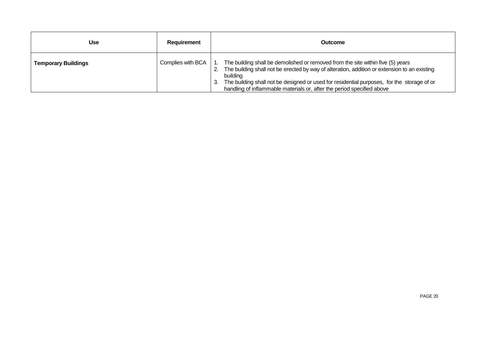| Use                        | Requirement       | Outcome                                                                                                                                                                                                                                                                                                                                                             |
|----------------------------|-------------------|---------------------------------------------------------------------------------------------------------------------------------------------------------------------------------------------------------------------------------------------------------------------------------------------------------------------------------------------------------------------|
| <b>Temporary Buildings</b> | Complies with BCA | The building shall be demolished or removed from the site within five (5) years<br>The building shall not be erected by way of alteration, addition or extension to an existing<br>building<br>The building shall not be designed or used for residential purposes, for the storage of or<br>handling of inflammable materials or, after the period specified above |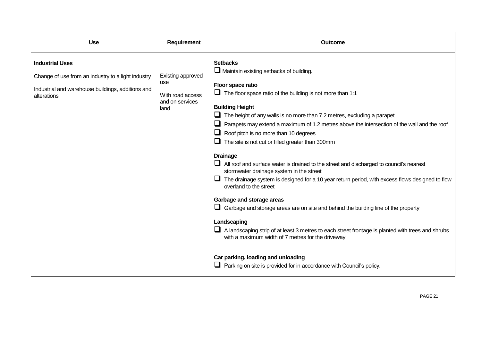| <b>Use</b>                                                                                                                                       | Requirement                                                             | <b>Outcome</b>                                                                                                                                                                                                                                                                                                                                                                                                                                                                                                                                                                                                                                                                                                                                                                                                                                                                                                                                                                                                                                                                                                                                               |
|--------------------------------------------------------------------------------------------------------------------------------------------------|-------------------------------------------------------------------------|--------------------------------------------------------------------------------------------------------------------------------------------------------------------------------------------------------------------------------------------------------------------------------------------------------------------------------------------------------------------------------------------------------------------------------------------------------------------------------------------------------------------------------------------------------------------------------------------------------------------------------------------------------------------------------------------------------------------------------------------------------------------------------------------------------------------------------------------------------------------------------------------------------------------------------------------------------------------------------------------------------------------------------------------------------------------------------------------------------------------------------------------------------------|
| <b>Industrial Uses</b><br>Change of use from an industry to a light industry<br>Industrial and warehouse buildings, additions and<br>alterations | Existing approved<br>use<br>With road access<br>and on services<br>land | <b>Setbacks</b><br>Maintain existing setbacks of building.<br>Floor space ratio<br>$\Box$ The floor space ratio of the building is not more than 1:1<br><b>Building Height</b><br>The height of any walls is no more than 7.2 metres, excluding a parapet<br>⊔<br>Parapets may extend a maximum of 1.2 metres above the intersection of the wall and the roof<br>Roof pitch is no more than 10 degrees<br>The site is not cut or filled greater than 300mm<br><b>Drainage</b><br>All roof and surface water is drained to the street and discharged to council's nearest<br>stormwater drainage system in the street<br>The drainage system is designed for a 10 year return period, with excess flows designed to flow<br>overland to the street<br>Garbage and storage areas<br>Garbage and storage areas are on site and behind the building line of the property<br>Landscaping<br>A landscaping strip of at least 3 metres to each street frontage is planted with trees and shrubs<br>with a maximum width of 7 metres for the driveway.<br>Car parking, loading and unloading<br>Parking on site is provided for in accordance with Council's policy. |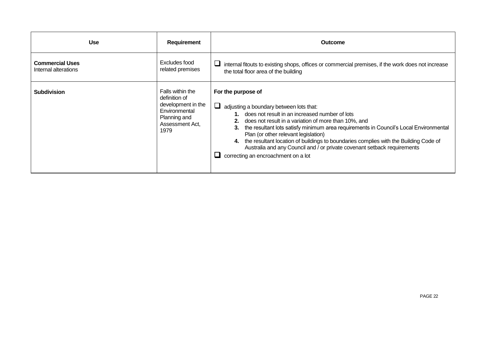| <b>Use</b>                                     | <b>Requirement</b>                                                                                                  | <b>Outcome</b>                                                                                                                                                                                                                                                                                                                                                                                                                                                                                                         |
|------------------------------------------------|---------------------------------------------------------------------------------------------------------------------|------------------------------------------------------------------------------------------------------------------------------------------------------------------------------------------------------------------------------------------------------------------------------------------------------------------------------------------------------------------------------------------------------------------------------------------------------------------------------------------------------------------------|
| <b>Commercial Uses</b><br>Internal alterations | Excludes food<br>related premises                                                                                   | internal fitouts to existing shops, offices or commercial premises, if the work does not increase<br>the total floor area of the building                                                                                                                                                                                                                                                                                                                                                                              |
| <b>Subdivision</b>                             | Falls within the<br>definition of<br>development in the<br>Environmental<br>Planning and<br>Assessment Act,<br>1979 | For the purpose of<br>adjusting a boundary between lots that:<br>1. does not result in an increased number of lots<br>does not result in a variation of more than 10%, and<br>the resultant lots satisfy minimum area requirements in Council's Local Environmental<br>Plan (or other relevant legislation)<br>the resultant location of buildings to boundaries complies with the Building Code of<br>Australia and any Council and / or private covenant setback requirements<br>correcting an encroachment on a lot |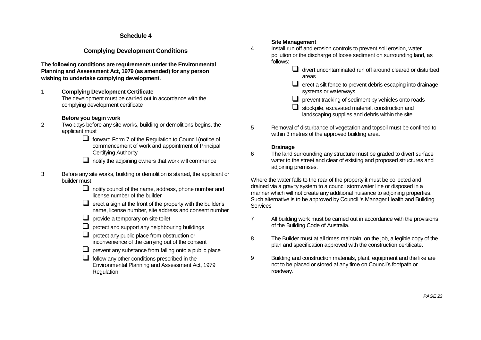#### **Schedule 4**

## **Complying Development Conditions**

**The following conditions are requirements under the Environmental Planning and Assessment Act, 1979 (as amended) for any person wishing to undertake complying development.**

**1 Complying Development Certificate** The development must be carried out in accordance with the complying development certificate

#### **Before you begin work**

- 2 Two days before any site works, building or demolitions begins, the applicant must
	- $\Box$  forward Form 7 of the Regulation to Council (notice of commencement of work and appointment of Principal Certifying Authority
	- $\Box$  notify the adjoining owners that work will commence
- 3 Before any site works, building or demolition is started, the applicant or builder must
	- $\Box$  notify council of the name, address, phone number and license number of the builder
	- $\Box$  erect a sign at the front of the property with the builder's name, license number, site address and consent number
	- $\Box$  provide a temporary on site toilet
	- $\Box$  protect and support any neighbouring buildings
	- $\Box$  protect any public place from obstruction or inconvenience of the carrying out of the consent
	- $\Box$  prevent any substance from falling onto a public place
	- $\Box$  follow any other conditions prescribed in the Environmental Planning and Assessment Act, 1979 **Regulation**

#### **Site Management**

- 4 Install run off and erosion controls to prevent soil erosion, water pollution or the discharge of loose sediment on surrounding land, as follows:
	- $\Box$  divert uncontaminated run off around cleared or disturbed areas
	- $\Box$  erect a silt fence to prevent debris escaping into drainage systems or waterways
	- $\Box$  prevent tracking of sediment by vehicles onto roads
	- $\Box$  stockpile, excavated material, construction and landscaping supplies and debris within the site
- 5 Removal of disturbance of vegetation and topsoil must be confined to within 3 metres of the approved building area.

#### **Drainage**

6 The land surrounding any structure must be graded to divert surface water to the street and clear of existing and proposed structures and adjoining premises.

Where the water falls to the rear of the property it must be collected and drained via a gravity system to a council stormwater line or disposed in a manner which will not create any additional nuisance to adjoining properties. Such alternative is to be approved by Council 's Manager Health and Building **Services** 

- 7 All building work must be carried out in accordance with the provisions of the Building Code of Australia.
- 8 The Builder must at all times maintain, on the job, a legible copy of the plan and specification approved with the construction certificate.
- 9 Building and construction materials, plant, equipment and the like are not to be placed or stored at any time on Council's footpath or roadway.